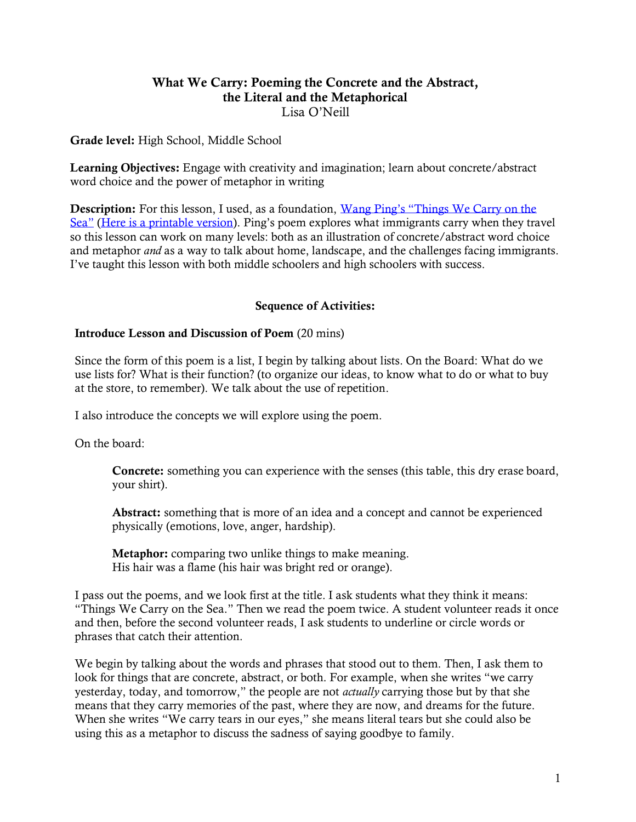# What We Carry: Poeming the Concrete and the Abstract, the Literal and the Metaphorical Lisa O'Neill

## Grade level: High School, Middle School

**Learning Objectives:** Engage with creativity and imagination; learn about concrete/abstract word choice and the power of metaphor in writing

Description: For this lesson, I used, as a foundation, Wang Ping's "Things We Carry on the [Sea"](https://poets.org/poem/things-we-carry-sea) [\(Here is a printable version](https://poets.org/print/poem/6a077edc-4baa-47d7-b3e4-37839fc79ede)). Ping's poem explores what immigrants carry when they travel so this lesson can work on many levels: both as an illustration of concrete/abstract word choice and metaphor *and* as a way to talk about home, landscape, and the challenges facing immigrants. I've taught this lesson with both middle schoolers and high schoolers with success.

## Sequence of Activities:

### Introduce Lesson and Discussion of Poem (20 mins)

Since the form of this poem is a list, I begin by talking about lists. On the Board: What do we use lists for? What is their function? (to organize our ideas, to know what to do or what to buy at the store, to remember). We talk about the use of repetition.

I also introduce the concepts we will explore using the poem.

On the board:

Concrete: something you can experience with the senses (this table, this dry erase board, your shirt).

Abstract: something that is more of an idea and a concept and cannot be experienced physically (emotions, love, anger, hardship).

Metaphor: comparing two unlike things to make meaning. His hair was a flame (his hair was bright red or orange).

I pass out the poems, and we look first at the title. I ask students what they think it means: "Things We Carry on the Sea." Then we read the poem twice. A student volunteer reads it once and then, before the second volunteer reads, I ask students to underline or circle words or phrases that catch their attention.

We begin by talking about the words and phrases that stood out to them. Then, I ask them to look for things that are concrete, abstract, or both. For example, when she writes "we carry yesterday, today, and tomorrow," the people are not *actually* carrying those but by that she means that they carry memories of the past, where they are now, and dreams for the future. When she writes "We carry tears in our eyes," she means literal tears but she could also be using this as a metaphor to discuss the sadness of saying goodbye to family.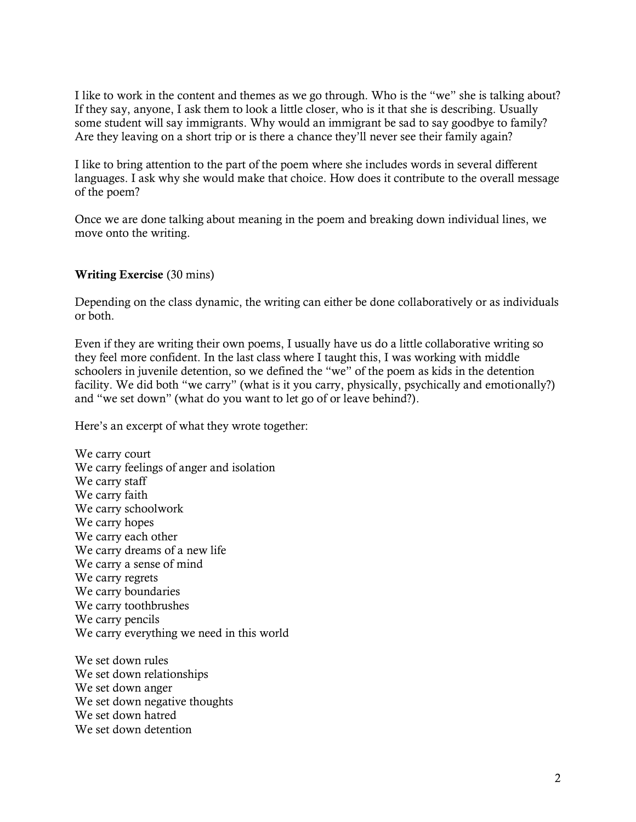I like to work in the content and themes as we go through. Who is the "we" she is talking about? If they say, anyone, I ask them to look a little closer, who is it that she is describing. Usually some student will say immigrants. Why would an immigrant be sad to say goodbye to family? Are they leaving on a short trip or is there a chance they'll never see their family again?

I like to bring attention to the part of the poem where she includes words in several different languages. I ask why she would make that choice. How does it contribute to the overall message of the poem?

Once we are done talking about meaning in the poem and breaking down individual lines, we move onto the writing.

## Writing Exercise (30 mins)

Depending on the class dynamic, the writing can either be done collaboratively or as individuals or both.

Even if they are writing their own poems, I usually have us do a little collaborative writing so they feel more confident. In the last class where I taught this, I was working with middle schoolers in juvenile detention, so we defined the "we" of the poem as kids in the detention facility. We did both "we carry" (what is it you carry, physically, psychically and emotionally?) and "we set down" (what do you want to let go of or leave behind?).

Here's an excerpt of what they wrote together:

We carry court We carry feelings of anger and isolation We carry staff We carry faith We carry schoolwork We carry hopes We carry each other We carry dreams of a new life We carry a sense of mind We carry regrets We carry boundaries We carry toothbrushes We carry pencils We carry everything we need in this world

We set down rules We set down relationships We set down anger We set down negative thoughts We set down hatred We set down detention